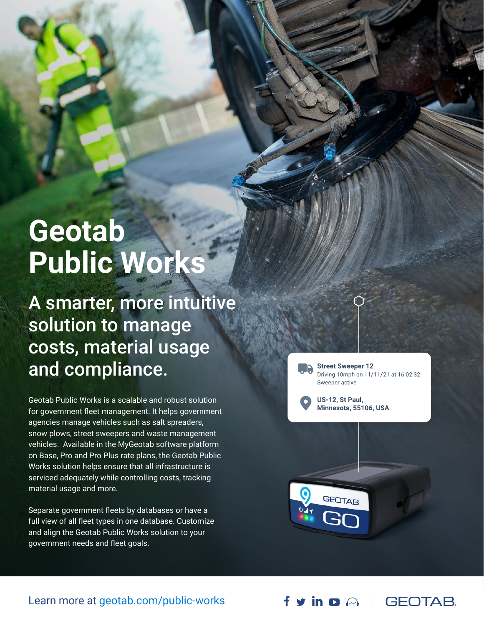# **Geotab Public Works**

A smarter, more intuitive solution to manage costs, material usage and compliance.

Geotab Public Works is a scalable and robust solution for government fleet management. It helps government agencies manage vehicles such as salt spreaders, snow plows, street sweepers and waste management vehicles. Available in the MyGeotab software platform on Base, Pro and Pro Plus rate plans, the Geotab Public Works solution helps ensure that all infrastructure is serviced adequately while controlling costs, tracking material usage and more.

Separate government fleets by databases or have a full view of all fleet types in one database. Customize and align the Geotab Public Works solution to your government needs and fleet goals.

**Street Sweeper 12** Driving 10mph on 11/11/21 at 16:02:32 Sweeper active

US-12, St Paul, Minnesota, 55106, USA



### Learn more at [geotab.com/public-works](http://geotab.com/public-works)

f y in p A | GEOTAB.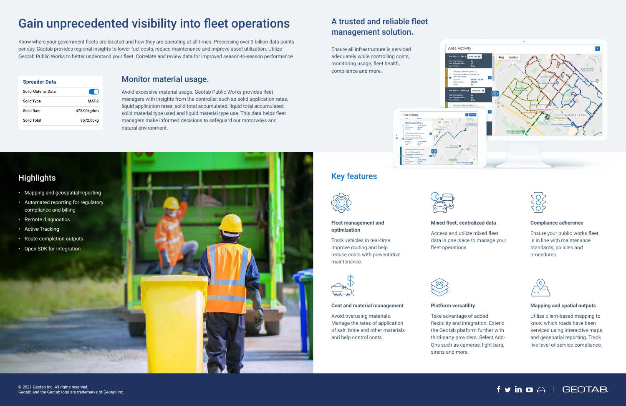# Gain unprecedented visibility into fleet operations

Know where your government fleets are located and how they are operating at all times. Processing over 3 billion data points per day, Geotab provides regional insights to lower fuel costs, reduce maintenance and improve asset utilization. Utilize Geotab Public Works to better understand your fleet. Correlate and review data for improved season-to-season performance.

| <b>Spreader Data</b> |             |
|----------------------|-------------|
| Solid Material Data  |             |
| Solid Type           | MAT 2       |
| Solid Rate           | 472.00kg/km |
| Solid Total          | 9572.00kg   |



## Key features



#### **Fleet management and optimization**

Track vehicles in real-time. Improve routing and help reduce costs with preventative maintenance.



#### **Mixed fleet, centralized data**

Access and utilize mixed fleet data in one place to manage your fleet operations.



#### **Compliance adherence**

Ensure your public works fleet is in line with maintenance standards, policies and procedures.



#### **Cost and material management**

Avoid overusing materials. Manage the rates of application of salt, brine and other materials and help control costs.



#### **Platform versatility**

Take advantage of added flexibility and integration. Extend the Geotab platform further with third-party providers. Select Add-Ons such as cameras, light bars, sirens and more.

#### **Mapping and spatial outputs**

Utilize client-based mapping to know which roads have been serviced using interactive maps and geospatial reporting. Track live level of service compliance.

# $f \circ in \Omega \cap \Gamma$  GEOTAB

- Mapping and geospatial reporting
- Automated reporting for regulatory compliance and billing
- Remote diagnostics
- Active Tracking
- Route completion outputs
- Open SDK for integration



# A trusted and reliable fleet management solution.

Ensure all infrastructure is serviced adequately while controlling costs, monitoring usage, fleet health, compliance and more.





Avoid excessive material usage. Geotab Public Works provides fleet managers with insights from the controller, such as solid application rates, liquid application rates, solid total accumulated, liquid total accumulated, solid material type used and liquid material type use. This data helps fleet managers make informed decisions to safeguard our motorways and natural environment.

# **Highlights**

### Monitor material usage.